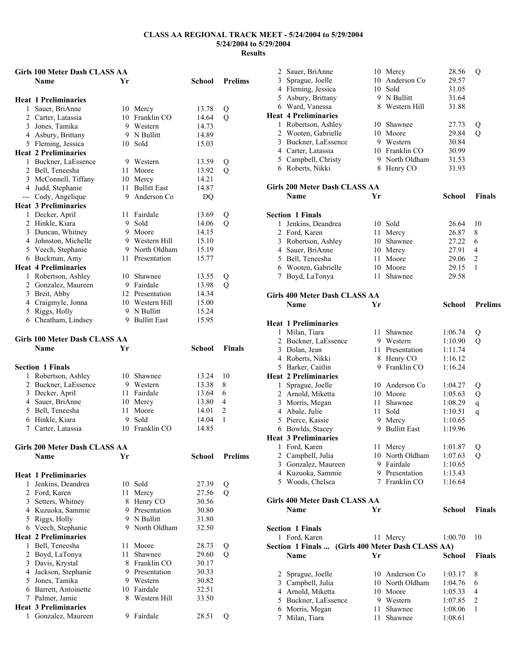# **Girls 100 Meter Dash CLASS AA Name Yr School Prelims Heat 1 Preliminaries**  1 Sauer, BriAnne 10 Mercy 13.78 Q<br>2 Carter, Latassia 10 Franklin CO 14.64 Q 2 Carter, Latassia 10 Franklin CO 14.64 Q<br>3 Jones Tamika 9 Western 14.73 3 Jones, Tamika 9 Western 14.73<br>4 Asbury Brittany 9 N Bullitt 14.89 4 Asbury, Brittany 9 N Bullitt 14.89 5 Fleming, Jessica 10 Sold 15.03 **Heat 2 Preliminaries**  1 Buckner, LaEssence 9 Western 13.59 Q 2 Bell, Teneesha 11 Moore 13.92 Q 3 McConnell, Tiffany 10 Mercy 14.21 4 Judd, Stephanie 11 Bullitt East 14.87 --- Cody, Angelique 9 Anderson Co DQ **Heat 3 Preliminaries**  1 Decker, April 11 Fairdale 13.69 Q 2 Hinkle, Kiara 9 Sold 14.06 Q<br>3 Duncan, Whitney 9 Moore 14.15 3 Duncan, Whitney 9 Moore 14.15<br>4 Johnston, Michelle 9 Western Hill 15.10 4 Johnston, Michelle 5 Veech, Stephanie 9 North Oldham 15.19 6 Buckman, Amy 11 Presentation 15.77 **Heat 4 Preliminaries**  1 Robertson, Ashley 10 Shawnee 13.55 Q<br>2 Gonzalez, Maureen 9 Fairdale 13.98 Q 2 Gonzalez, Maureen 9 Fairdale 13.98 Q<br>
3 Breit. Abby 12 Presentation 14.34 3 Breit, Abby 12 Presentation 14.34<br>4 Craigmyle Jonna 10 Western Hill 15.00 4 Craigmyle, Jonna 10 Western Hill 15.00<br>5 Riggs. Holly 9 N Bullitt 15.24 5 Riggs, Holly 9 N Bullitt 15.24<br>6 Cheatham, Lindsey 9 Bullitt East 15.95  $6$  Cheatham, Lindsey **Girls 100 Meter Dash CLASS AA Name Yr School Finals**

| <b>Section 1 Finals</b> |                |       |     |
|-------------------------|----------------|-------|-----|
| 1 Robertson, Ashley     | 10 Shawnee     | 13.24 | -10 |
| 2 Buckner, LaEssence    | 9 Western      | 13.38 | 8   |
| 3 Decker, April         | 11 Fairdale    | 13.64 | 6   |
| 4 Sauer, BriAnne        | 10 Mercy       | 13.80 | 4   |
| 5 Bell, Teneesha        | 11 Moore       | 14.01 |     |
| 6 Hinkle, Kiara         | 9 Sold         | 14.04 |     |
| 7 Carter, Latassia      | 10 Franklin CO | 14.85 |     |

# **Girls 200 Meter Dash CLASS AA**

|   | Name                        | Yr  |                | School | <b>Prelims</b> |
|---|-----------------------------|-----|----------------|--------|----------------|
|   | <b>Heat 1 Preliminaries</b> |     |                |        |                |
| 1 | Jenkins, Deandrea           | 10  | Sold           | 27.39  | Q              |
| 2 | Ford, Karen                 | 11  | Mercy          | 27.56  | Q              |
| 3 | Setters, Whitney            |     | 8 Henry CO     | 30.56  |                |
| 4 | Kuzuoka, Sammie             | 9.  | Presentation   | 30.80  |                |
| 5 | Riggs, Holly                |     | 9 N Bullitt    | 31.80  |                |
|   | 6 Veech, Stephanie          |     | 9 North Oldham | 32.50  |                |
|   | <b>Heat 2 Preliminaries</b> |     |                |        |                |
| 1 | Bell, Teneesha              | 11  | Moore          | 28.73  | Q              |
| 2 | Boyd, LaTonya               | 11. | Shawnee        | 29.60  | Q              |
| 3 | Davis, Krystal              |     | 8 Franklin CO  | 30.17  |                |
| 4 | Jackson, Stephanie          | 9   | Presentation   | 30.33  |                |
| 5 | Jones, Tamika               | 9   | Western        | 30.82  |                |
| 6 | Barrett, Antoinette         | 10  | Fairdale       | 32.51  |                |
| 7 | Palmer, Jamie               | 8   | Western Hill   | 33.50  |                |
|   | <b>Heat 3 Preliminaries</b> |     |                |        |                |
| 1 | Gonzalez, Maureen           | 9   | Fairdale       | 28.51  | Ő              |

| 2      | Sauer, BriAnne                       |    | 10 Mercy                                    | 28.56         | Q              |
|--------|--------------------------------------|----|---------------------------------------------|---------------|----------------|
| 3      | Sprague, Joelle                      | 10 | Anderson Co                                 | 29.57         |                |
|        | 4 Fleming, Jessica                   |    | 10 Sold                                     | 31.05         |                |
|        | 5 Asbury, Brittany                   |    | 9 N Bullitt                                 | 31.64         |                |
|        | 6 Ward, Vanessa                      |    | 8 Western Hill                              | 31.88         |                |
|        | <b>Heat 4 Preliminaries</b>          |    |                                             |               |                |
|        | 1 Robertson, Ashley                  |    | 10 Shawnee                                  | 27.73         | Q              |
|        | 2 Wooten, Gabrielle                  |    | 10 Moore                                    | 29.84         | Q              |
|        | 3 Buckner, LaEssence                 |    | 9 Western                                   | 30.84         |                |
|        | 4 Carter, Latassia                   |    | 10 Franklin CO                              | 30.99         |                |
|        | 5 Campbell, Christy                  |    | 9 North Oldham                              | 31.53         |                |
|        | 6 Roberts, Nikki                     |    | 8 Henry CO                                  | 31.93         |                |
|        | <b>Girls 200 Meter Dash CLASS AA</b> |    |                                             |               |                |
|        | Name                                 | Yr |                                             | <b>School</b> | Finals         |
|        | <b>Section 1 Finals</b>              |    |                                             |               |                |
| 1      | Jenkins, Deandrea                    |    | 10 Sold                                     | 26.64         | 10             |
|        | 2 Ford, Karen                        | 11 | Mercy                                       | 26.87         | 8              |
|        | 3 Robertson, Ashley                  | 10 | Shawnee                                     | 27.22         | 6              |
|        | 4 Sauer, BriAnne                     |    | 10 Mercy                                    | 27.91         | 4              |
|        | 5 Bell, Teneesha                     | 11 | Moore                                       | 29.06         | 2              |
|        | 6 Wooten, Gabrielle                  |    | 10 Moore                                    | 29.15         | 1              |
|        | 7 Boyd, LaTonya                      | 11 | Shawnee                                     | 29.58         |                |
|        |                                      |    |                                             |               |                |
|        | Girls 400 Meter Dash CLASS AA        |    |                                             |               |                |
|        | Name                                 | Yr |                                             | <b>School</b> | <b>Prelims</b> |
|        | <b>Heat 1 Preliminaries</b>          |    |                                             |               |                |
|        | 1 Milan, Tiara                       | 11 | Shawnee                                     | 1:06.74       | Q              |
|        | 2 Buckner, LaEssence                 |    | 9 Western                                   | 1:10.90       | Q              |
|        | 3 Dolan, Jean                        | 11 | Presentation                                | 1:11.74       |                |
|        | 4 Roberts, Nikki                     |    | 8 Henry CO                                  | 1:16.12       |                |
|        | 5 Barker, Caitlin                    |    | 9 Franklin CO                               | 1:16.24       |                |
|        | <b>Heat 2 Preliminaries</b>          |    |                                             |               |                |
|        | 1 Sprague, Joelle                    |    | 10 Anderson Co                              | 1:04.27       | Q              |
|        | 2 Arnold, Miketta                    |    | 10 Moore                                    | 1:05.63       | Q              |
|        | 3 Morris, Megan                      | 11 | Shawnee                                     | 1:08.29       | $\mathbf q$    |
|        | 4 Abale, Julie                       | 11 | Sold                                        | 1:10.51       | $\mathbf q$    |
| 5      | Pierce, Kassie                       | 9  | Mercy                                       | 1:10.65       |                |
|        | 6 Bowlds, Stacey                     | 9. | <b>Bullitt East</b>                         | 1:19.96       |                |
|        | <b>Heat 3 Preliminaries</b>          |    |                                             |               |                |
|        | 1 Ford, Karen                        |    | 11 Mercy                                    | 1:01.87       | Q              |
|        | 2 Campbell, Julia                    |    | 10 North Oldham                             | 1:07.63       | Q              |
|        | 3 Gonzalez, Maureen                  |    | 9 Fairdale                                  | 1:10.65       |                |
|        | 4 Kuzuoka, Sammie                    |    | 9 Presentation                              | 1:13.43       |                |
|        | 5 Woods, Chelsea                     |    | 7 Franklin CO                               | 1:16.64       |                |
|        | <b>Girls 400 Meter Dash CLASS AA</b> |    |                                             |               |                |
|        | <b>Name</b>                          | Yr |                                             | <b>School</b> | <b>Finals</b>  |
|        | <b>Section 1 Finals</b>              |    |                                             |               |                |
|        |                                      |    |                                             |               | 10             |
|        | 1 Ford, Karen<br>Section 1 Finals    |    | 11 Mercy<br>(Girls 400 Meter Dash CLASS AA) | 1:00.70       |                |
|        | Name                                 | Yr |                                             | School        | <b>Finals</b>  |
|        |                                      |    |                                             |               |                |
| 2      | Sprague, Joelle                      |    | 10 Anderson Co                              | 1:03.17       | 8              |
| 3      | Campbell, Julia                      |    | 10 North Oldham                             | 1:04.76       | 6              |
|        | 4 Arnold, Miketta                    |    | 10 Moore                                    | 1:05.33       | 4              |
|        | 5 Buckner, LaEssence                 |    | 9 Western                                   | 1:07.85       | $\overline{c}$ |
| 6<br>7 | Morris, Megan                        | 11 | Shawnee                                     | 1:08.06       | 1              |
|        | Milan, Tiara                         | 11 | Shawnee                                     | 1:08.61       |                |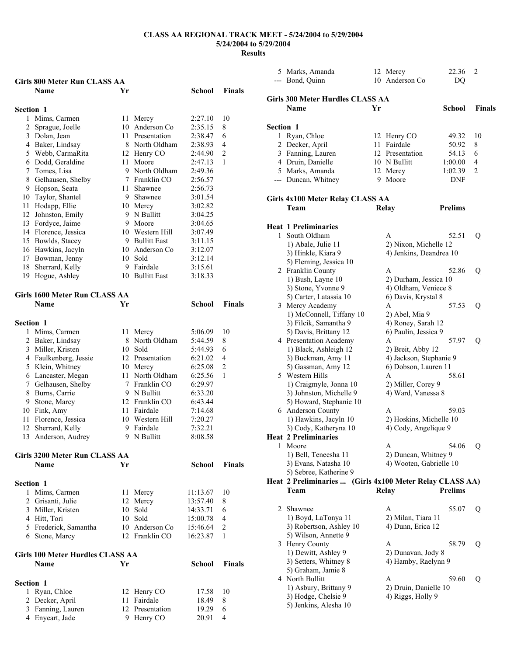## **Results**

|                  | <b>Girls 800 Meter Run CLASS AA</b>     |      |                            |               |                |
|------------------|-----------------------------------------|------|----------------------------|---------------|----------------|
|                  | <b>Name</b>                             | Yr   |                            | <b>School</b> | <b>Finals</b>  |
|                  |                                         |      |                            |               |                |
| <b>Section 1</b> |                                         |      |                            |               |                |
| $\mathbf{1}$     | Mims, Carmen                            | 11   | Mercy                      | 2:27.10       | 10             |
|                  | 2 Sprague, Joelle                       |      | 10 Anderson Co             | 2:35.15       | 8              |
|                  | 3 Dolan, Jean                           |      | 11 Presentation            | 2:38.47       | 6              |
|                  | 4 Baker, Lindsay                        |      | 8 North Oldham             | 2:38.93       | 4              |
|                  | 5 Webb, CarmaRita                       |      | 12 Henry CO                | 2:44.90       | $\overline{c}$ |
|                  | 6 Dodd, Geraldine                       |      | 11 Moore                   | 2:47.13       | 1              |
|                  | 7 Tomes, Lisa                           |      | 9 North Oldham             | 2:49.36       |                |
|                  | 8 Gelhausen, Shelby                     |      | 7 Franklin CO              | 2:56.57       |                |
|                  | 9 Hopson, Seata                         | 11 - | Shawnee                    | 2:56.73       |                |
|                  | 10 Taylor, Shantel                      |      | 9 Shawnee                  | 3:01.54       |                |
|                  | 11 Hodapp, Ellie                        |      | 10 Mercy                   | 3:02.82       |                |
|                  | 12 Johnston, Emily                      |      | 9 N Bullitt                | 3:04.25       |                |
|                  | 13 Fordyce, Jaime                       |      | 9 Moore                    | 3:04.65       |                |
|                  | 14 Florence, Jessica                    |      | 10 Western Hill            | 3:07.49       |                |
|                  | 15 Bowlds, Stacey                       |      | 9 Bullitt East             | 3:11.15       |                |
|                  | 16 Hawkins, Jacyln                      |      | 10 Anderson Co             | 3:12.07       |                |
|                  | 17 Bowman, Jenny                        |      | 10 Sold                    | 3:12.14       |                |
|                  | 18 Sherrard, Kelly                      |      | 9 Fairdale                 | 3:15.61       |                |
|                  | 19 Hogue, Ashley                        |      | 10 Bullitt East            | 3:18.33       |                |
|                  |                                         |      |                            |               |                |
|                  | Girls 1600 Meter Run CLASS AA           |      |                            |               |                |
|                  | <b>Name</b>                             | Yr   |                            | School        | <b>Finals</b>  |
| Section 1        |                                         |      |                            |               |                |
|                  |                                         |      |                            | 5:06.09       |                |
|                  | 1 Mims, Carmen                          |      | 11 Mercy<br>8 North Oldham | 5:44.59       | 10<br>8        |
|                  | 2 Baker, Lindsay<br>3 Miller, Kristen   |      | 10 Sold                    | 5:44.93       | 6              |
|                  | 4 Faulkenberg, Jessie                   |      | 12 Presentation            | 6:21.02       | 4              |
|                  | 5 Klein, Whitney                        |      | 10 Mercy                   | 6:25.08       | $\overline{c}$ |
|                  | 6 Lancaster, Megan                      |      | 11 North Oldham            | 6:25.56       | $\mathbf{1}$   |
|                  | 7 Gelhausen, Shelby                     |      | 7 Franklin CO              | 6:29.97       |                |
|                  | 8 Burns, Carrie                         |      | 9 N Bullitt                | 6:33.20       |                |
|                  | 9 Stone, Marcy                          |      | 12 Franklin CO             | 6:43.44       |                |
|                  | 10 Fink, Amy                            |      | 11 Fairdale                | 7:14.68       |                |
|                  | 11 Florence, Jessica                    |      | 10 Western Hill            | 7:20.27       |                |
| 12               | Sherrard, Kelly                         |      | 9 Fairdale                 | 7:32.21       |                |
| 13               | Anderson, Audrey                        |      | 9 N Bullitt                | 8:08.58       |                |
|                  |                                         |      |                            |               |                |
|                  | Girls 3200 Meter Run CLASS AA           |      |                            |               |                |
|                  | <b>Name</b>                             | Yr   |                            | School        | <b>Finals</b>  |
|                  |                                         |      |                            |               |                |
| Section 1        |                                         |      |                            |               |                |
| $\mathbf{1}$     | Mims, Carmen                            | 11 - | Mercy                      | 11:13.67      | 10             |
|                  | 2 Grisanti, Julie                       |      | 12 Mercy                   | 13:57.40      | 8              |
|                  | 3 Miller, Kristen                       |      | 10 Sold                    | 14:33.71      | 6              |
|                  | 4 Hitt, Tori                            |      | 10 Sold                    | 15:00.78      | 4              |
|                  | 5 Frederick, Samantha                   |      | 10 Anderson Co             | 15:46.64      | 2              |
|                  | 6 Stone, Marcy                          |      | 12 Franklin CO             | 16:23.87      | 1              |
|                  | <b>Girls 100 Meter Hurdles CLASS AA</b> |      |                            |               |                |
|                  | <b>Name</b>                             | Yr   |                            | School        | <b>Finals</b>  |
|                  |                                         |      |                            |               |                |
| Section 1        |                                         |      |                            |               |                |
| 1                | Ryan, Chloe                             | 12   | Henry CO                   | 17.58         | 10             |
|                  | 2 Decker, April                         | 11   | Fairdale                   | 18.49         | 8              |
|                  | 3 Fanning, Lauren                       |      | 12 Presentation            | 19.29         | 6              |
|                  | 4 Enyeart, Jade                         |      | 9 Henry CO                 | 20.91         | 4              |

|           | 5 Marks, Amanda<br>--- Bond, Quinn                       | 10 | 12 Mercy<br>Anderson Co                  | 22.36<br>DQ    | 2             |
|-----------|----------------------------------------------------------|----|------------------------------------------|----------------|---------------|
|           | Girls 300 Meter Hurdles CLASS AA                         |    |                                          |                |               |
|           | Name                                                     | Yr |                                          | School         | <b>Finals</b> |
| Section 1 |                                                          |    |                                          |                |               |
|           | 1 Ryan, Chloe                                            |    | 12 Henry CO                              | 49.32          | 10            |
| 2         | Decker, April                                            |    | 11 Fairdale                              | 50.92          | 8             |
|           | 3 Fanning, Lauren                                        |    | 12 Presentation                          | 54.13          | 6             |
|           | 4 Druin, Danielle                                        |    | 10 N Bullitt                             | 1:00.00        | 4             |
|           | 5 Marks, Amanda                                          |    | 12 Mercy                                 | 1:02.39        | 2             |
|           | --- Duncan, Whitney                                      |    | 9 Moore                                  | DNF            |               |
|           | Girls 4x100 Meter Relay CLASS AA                         |    |                                          |                |               |
|           | Team                                                     |    | <b>Relay</b>                             | <b>Prelims</b> |               |
|           | <b>Heat 1 Preliminaries</b>                              |    |                                          |                |               |
| 1.        | South Oldham                                             |    | A                                        | 52.51          | Q             |
|           | 1) Abale, Julie 11                                       |    | 2) Nixon, Michelle 12                    |                |               |
|           | 3) Hinkle, Kiara 9                                       |    | 4) Jenkins, Deandrea 10                  |                |               |
|           | 5) Fleming, Jessica 10                                   |    |                                          |                |               |
|           | 2 Franklin County                                        |    | A                                        | 52.86          | Q             |
|           | 1) Bush, Layne 10                                        |    | 2) Durham, Jessica 10                    |                |               |
|           | 3) Stone, Yvonne 9                                       |    | 4) Oldham, Veniece 8                     |                |               |
|           | 5) Carter, Latassia 10                                   |    | 6) Davis, Krystal 8                      |                |               |
|           | 3 Mercy Academy                                          |    | A                                        | 57.53          | Q             |
|           | 1) McConnell, Tiffany 10                                 |    | 2) Abel, Mia 9                           |                |               |
|           | 3) Filcik, Samantha 9                                    |    | 4) Roney, Sarah 12                       |                |               |
|           | 5) Davis, Brittany 12                                    |    | 6) Paulin, Jessica 9                     |                |               |
|           |                                                          |    | A                                        | 57.97          |               |
|           | 4 Presentation Academy<br>1) Black, Ashleigh 12          |    | 2) Breit, Abby 12                        |                | Q             |
|           |                                                          |    | 4) Jackson, Stephanie 9                  |                |               |
|           | 3) Buckman, Amy 11                                       |    | 6) Dobson, Lauren 11                     |                |               |
|           | 5) Gassman, Amy 12                                       |    | A                                        | 58.61          |               |
|           | 5 Western Hills                                          |    |                                          |                |               |
|           | 1) Craigmyle, Jonna 10<br>3) Johnston, Michelle 9        |    | 2) Miller, Corey 9<br>4) Ward, Vanessa 8 |                |               |
|           |                                                          |    |                                          |                |               |
|           | 5) Howard, Stephanie 10                                  |    | A                                        |                |               |
|           | 6 Anderson County                                        |    |                                          | 59.03          |               |
|           | 1) Hawkins, Jacyln 10                                    |    | 2) Hoskins, Michelle 10                  |                |               |
|           | 3) Cody, Katheryna 10                                    |    | 4) Cody, Angelique 9                     |                |               |
|           | <b>Heat 2 Preliminaries</b>                              |    |                                          |                |               |
| 1         | Moore                                                    |    | A                                        | 54.06          | Q             |
|           | 1) Bell, Teneesha 11                                     |    | 2) Duncan, Whitney 9                     |                |               |
|           | 3) Evans, Natasha 10                                     |    | 4) Wooten, Gabrielle 10                  |                |               |
|           | 5) Sebree, Katherine 9                                   |    |                                          |                |               |
|           | Heat 2 Preliminaries  (Girls 4x100 Meter Relay CLASS AA) |    |                                          |                |               |
|           | Team                                                     |    | Relay                                    | <b>Prelims</b> |               |
| 2         | Shawnee                                                  |    | A                                        | 55.07          | Q             |
|           | 1) Boyd, LaTonya 11                                      |    | 2) Milan, Tiara 11                       |                |               |
|           | 3) Robertson, Ashley 10                                  |    | 4) Dunn, Erica 12                        |                |               |
|           | 5) Wilson, Annette 9                                     |    |                                          |                |               |
|           | 3 Henry County                                           |    | A                                        | 58.79          | Q             |
|           | 1) Dewitt, Ashley 9                                      |    | 2) Dunavan, Jody 8                       |                |               |
|           | 3) Setters, Whitney 8                                    |    | 4) Hamby, Raelynn 9                      |                |               |
|           | 5) Graham, Jamie 8                                       |    |                                          |                |               |
|           | 4 North Bullitt                                          |    | A                                        | 59.60          | Q             |
|           | 1) Asbury, Brittany 9                                    |    | 2) Druin, Danielle 10                    |                |               |
|           | 3) Hodge, Chelsie 9                                      |    | 4) Riggs, Holly 9                        |                |               |
|           | 5) Jenkins, Alesha 10                                    |    |                                          |                |               |
|           |                                                          |    |                                          |                |               |
|           |                                                          |    |                                          |                |               |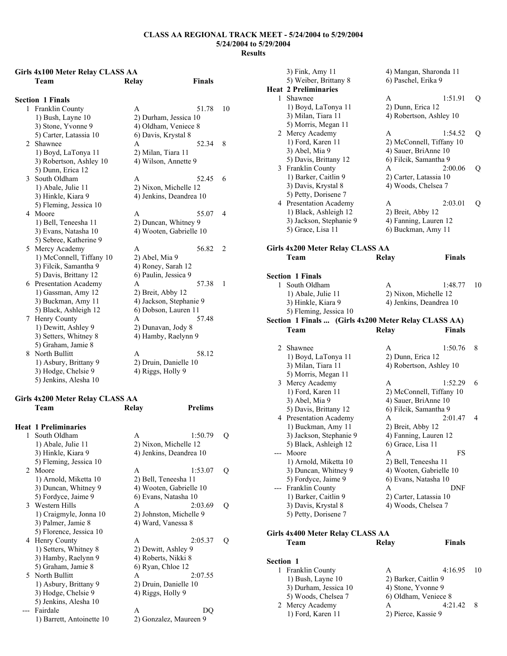## **Girls 4x100 Meter Relay CLASS AA Team Relay Finals**

|                | <b>Section 1 Finals</b>     |                         |                |
|----------------|-----------------------------|-------------------------|----------------|
|                | 1 Franklin County           | A<br>51.78              | 10             |
|                | 1) Bush, Layne 10           | 2) Durham, Jessica 10   |                |
|                | 3) Stone, Yvonne 9          | 4) Oldham, Veniece 8    |                |
|                | 5) Carter, Latassia 10      | 6) Davis, Krystal 8     |                |
| $\mathfrak{D}$ | Shawnee                     | 52.34<br>A              | 8              |
|                | 1) Boyd, LaTonya 11         | 2) Milan, Tiara 11      |                |
|                | 3) Robertson, Ashley 10     | 4) Wilson, Annette 9    |                |
|                | 5) Dunn, Erica 12           |                         |                |
| $\mathcal{E}$  | South Oldham                | $\mathsf{A}$<br>52.45   | 6              |
|                | 1) Abale, Julie 11          | 2) Nixon, Michelle 12   |                |
|                | 3) Hinkle, Kiara 9          | 4) Jenkins, Deandrea 10 |                |
|                | 5) Fleming, Jessica 10      |                         |                |
| 4              | Moore                       | A<br>55.07              | $\overline{4}$ |
|                | 1) Bell, Teneesha 11        | 2) Duncan, Whitney 9    |                |
|                | 3) Evans, Natasha 10        | 4) Wooten, Gabrielle 10 |                |
|                | 5) Sebree, Katherine 9      |                         |                |
| 5              | Mercy Academy               | 56.82<br>A              | $\overline{c}$ |
|                | 1) McConnell, Tiffany 10    | 2) Abel, Mia 9          |                |
|                | 3) Filcik, Samantha 9       | 4) Roney, Sarah 12      |                |
|                | 5) Davis, Brittany 12       | 6) Paulin, Jessica 9    |                |
| 6              | <b>Presentation Academy</b> | 57.38<br>A              | 1              |
|                | 1) Gassman, Amy 12          | 2) Breit, Abby 12       |                |
|                | 3) Buckman, Amy 11          | 4) Jackson, Stephanie 9 |                |
|                | 5) Black, Ashleigh 12       | 6) Dobson, Lauren 11    |                |
| 7              | Henry County                | 57.48<br>A              |                |
|                | 1) Dewitt, Ashley 9         | 2) Dunavan, Jody 8      |                |
|                | 3) Setters, Whitney 8       | 4) Hamby, Raelynn 9     |                |
|                | 5) Graham, Jamie 8          |                         |                |
| 8              | North Bullitt               | 58.12<br>A              |                |
|                | 1) Asbury, Brittany 9       | 2) Druin, Danielle 10   |                |
|                | 3) Hodge, Chelsie 9         | 4) Riggs, Holly 9       |                |
|                |                             |                         |                |

# **Girls 4x200 Meter Relay CLASS AA**

|              | <b>Heat 1 Preliminaries</b> |                         |   |
|--------------|-----------------------------|-------------------------|---|
| $\mathbf{1}$ | South Oldham                | 1:50.79<br>A            | O |
|              | 1) Abale, Julie 11          | 2) Nixon, Michelle 12   |   |
|              | 3) Hinkle, Kiara 9          | 4) Jenkins, Deandrea 10 |   |
|              | 5) Fleming, Jessica 10      |                         |   |
|              | 2 Moore                     | 1:53.07<br>A            | O |
|              | 1) Arnold, Miketta 10       | 2) Bell, Teneesha 11    |   |
|              | 3) Duncan, Whitney 9        | 4) Wooten, Gabrielle 10 |   |
|              | 5) Fordyce, Jaime 9         | 6) Evans, Natasha 10    |   |
|              | 3 Western Hills             | 2:03.69<br>A            | 0 |
|              | 1) Craigmyle, Jonna 10      | 2) Johnston, Michelle 9 |   |
|              | 3) Palmer, Jamie 8          | 4) Ward, Vanessa 8      |   |
|              | 5) Florence, Jessica 10     |                         |   |
|              | 4 Henry County              | 2:05.37<br>A            | 0 |
|              | 1) Setters, Whitney 8       | 2) Dewitt, Ashley 9     |   |
|              | 3) Hamby, Raelynn 9         | 4) Roberts, Nikki 8     |   |
|              | 5) Graham, Jamie 8          | 6) Ryan, Chloe 12       |   |
|              | 5 North Bullitt             | 2:07.55<br>$\mathsf{A}$ |   |
|              | 1) Asbury, Brittany 9       | 2) Druin, Danielle 10   |   |
|              | 3) Hodge, Chelsie 9         | 4) Riggs, Holly 9       |   |
|              | 5) Jenkins, Alesha 10       |                         |   |
|              | Fairdale                    | A<br>DO                 |   |
|              | 1) Barrett, Antoinette 10   | 2) Gonzalez, Maureen 9  |   |
|              |                             |                         |   |

**Prelims** 

|           | 3) Fink, Amy 11<br>5) Weiber, Brittany 8        | 4) Mangan, Sharonda 11<br>6) Paschel, Erika 9        |    |
|-----------|-------------------------------------------------|------------------------------------------------------|----|
|           | <b>Heat 2 Preliminaries</b>                     |                                                      |    |
| 1.        | Shawnee                                         | 1:51.91<br>A                                         | Q  |
|           | 1) Boyd, LaTonya 11                             | 2) Dunn, Erica 12                                    |    |
|           | 3) Milan, Tiara 11                              | 4) Robertson, Ashley 10                              |    |
|           | 5) Morris, Megan 11                             |                                                      |    |
|           | 2 Mercy Academy                                 | 1:54.52<br>A                                         | Q  |
|           | 1) Ford, Karen 11                               | 2) McConnell, Tiffany 10                             |    |
|           | 3) Abel, Mia 9                                  | 4) Sauer, BriAnne 10                                 |    |
|           | 5) Davis, Brittany 12                           | 6) Filcik, Samantha 9                                |    |
|           | 3 Franklin County                               | 2:00.06<br>A                                         | Q  |
|           | 1) Barker, Caitlin 9                            | 2) Carter, Latassia 10                               |    |
|           | 3) Davis, Krystal 8                             | 4) Woods, Chelsea 7                                  |    |
|           | 5) Petty, Dorisene 7                            |                                                      |    |
|           | 4 Presentation Academy                          | A<br>2:03.01                                         |    |
|           |                                                 |                                                      | Q  |
|           | 1) Black, Ashleigh 12                           | 2) Breit, Abby 12                                    |    |
|           | 3) Jackson, Stephanie 9                         | 4) Fanning, Lauren 12                                |    |
|           | 5) Grace, Lisa 11                               | 6) Buckman, Amy 11                                   |    |
|           | Girls 4x200 Meter Relay CLASS AA                |                                                      |    |
|           | Team                                            | <b>Finals</b><br>Relay                               |    |
|           |                                                 |                                                      |    |
|           | <b>Section 1 Finals</b>                         |                                                      |    |
| 1         | South Oldham                                    | 1:48.77<br>A                                         | 10 |
|           | 1) Abale, Julie 11                              | 2) Nixon, Michelle 12                                |    |
|           | 3) Hinkle, Kiara 9                              | 4) Jenkins, Deandrea 10                              |    |
|           | 5) Fleming, Jessica 10                          |                                                      |    |
|           |                                                 | Section 1 Finals  (Girls 4x200 Meter Relay CLASS AA) |    |
|           | Team                                            | <b>Relay</b><br>Finals                               |    |
|           |                                                 |                                                      |    |
| 2         | Shawnee                                         | A<br>1:50.76                                         | 8  |
|           | 1) Boyd, LaTonya 11                             | 2) Dunn, Erica 12                                    |    |
|           | 3) Milan, Tiara 11                              | 4) Robertson, Ashley 10                              |    |
|           | 5) Morris, Megan 11                             |                                                      |    |
|           | 3 Mercy Academy                                 | A<br>1:52.29                                         | 6  |
|           | 1) Ford, Karen 11                               |                                                      |    |
|           | 3) Abel, Mia 9                                  | 2) McConnell, Tiffany 10                             |    |
|           |                                                 | 4) Sauer, BriAnne 10<br>6) Filcik, Samantha 9        |    |
|           | 5) Davis, Brittany 12<br>4 Presentation Academy | 2:01.47                                              |    |
|           |                                                 | A                                                    | 4  |
|           | 1) Buckman, Amy 11                              | 2) Breit, Abby 12                                    |    |
|           | 3) Jackson, Stephanie 9                         | 4) Fanning, Lauren 12                                |    |
|           | 5) Black, Ashleigh 12                           | 6) Grace, Lisa 11                                    |    |
|           | Moore                                           | A                                                    | FS |
|           | 1) Arnold, Miketta 10                           | 2) Bell, Teneesha 11                                 |    |
|           | 3) Duncan, Whitney 9                            | 4) Wooten, Gabrielle 10                              |    |
|           | 5) Fordyce, Jaime 9                             | 6) Evans, Natasha 10                                 |    |
|           | Franklin County                                 | A<br>DNF                                             |    |
|           | 1) Barker, Caitlin 9                            | 2) Carter, Latassia 10                               |    |
|           | 3) Davis, Krystal 8                             | 4) Woods, Chelsea 7                                  |    |
|           | 5) Petty, Dorisene 7                            |                                                      |    |
|           | Girls 4x400 Meter Relay CLASS AA                |                                                      |    |
|           | Team                                            | <b>Finals</b><br><b>Relay</b>                        |    |
|           |                                                 |                                                      |    |
| Section 1 |                                                 |                                                      |    |
| 1         | Franklin County                                 | 4:16.95<br>A                                         | 10 |
|           | 1) Bush, Layne 10                               | 2) Barker, Caitlin 9                                 |    |
|           | 3) Durham, Jessica 10                           | 4) Stone, Yvonne 9                                   |    |
|           | 5) Woods, Chelsea 7                             | 6) Oldham, Veniece 8                                 |    |
|           | Maray Agodam                                    | 1.2111                                               |    |

- 2 Mercy Academy A 4:21.42 8<br>1) Ford, Karen 11 2) Pierce, Kassie 9
	- 2) Pierce, Kassie 9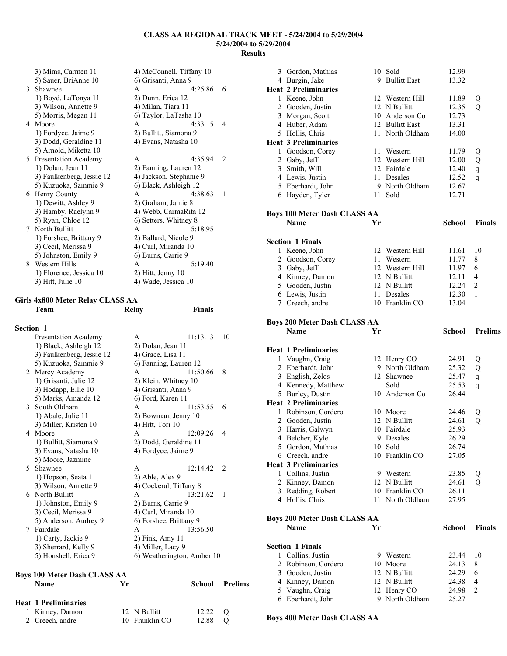|               | 3) Mims, Carmen 11        | 4) McConnell, Tiffany 10 |                |
|---------------|---------------------------|--------------------------|----------------|
|               | 5) Sauer, BriAnne 10      | 6) Grisanti, Anna 9      |                |
| $\mathcal{E}$ | Shawnee                   | 4:25.86<br>A             | 6              |
|               | 1) Boyd, LaTonya 11       | 2) Dunn, Erica 12        |                |
|               | 3) Wilson, Annette 9      | 4) Milan, Tiara 11       |                |
|               | 5) Morris, Megan 11       | 6) Taylor, LaTasha 10    |                |
|               | 4 Moore                   | 4:33.15<br>A             | 4              |
|               | 1) Fordyce, Jaime 9       | 2) Bullitt, Siamona 9    |                |
|               | 3) Dodd, Geraldine 11     | 4) Evans, Natasha 10     |                |
|               | 5) Arnold, Miketta 10     |                          |                |
| 5             | Presentation Academy      | 4:35.94<br>A             | $\mathfrak{D}$ |
|               | 1) Dolan, Jean 11         | 2) Fanning, Lauren 12    |                |
|               | 3) Faulkenberg, Jessie 12 | 4) Jackson, Stephanie 9  |                |
|               | 5) Kuzuoka, Sammie 9      | 6) Black, Ashleigh 12    |                |
|               | 6 Henry County            | 4:38.63<br>A             | 1              |
|               | 1) Dewitt, Ashley 9       | 2) Graham, Jamie 8       |                |
|               | 3) Hamby, Raelynn 9       | 4) Webb, CarmaRita 12    |                |
|               | 5) Ryan, Chloe 12         | 6) Setters, Whitney 8    |                |
| 7             | North Bullitt             | 5:18.95<br>A             |                |
|               | 1) Forshee, Brittany 9    | 2) Ballard, Nicole 9     |                |
|               | 3) Cecil, Merissa 9       | 4) Curl, Miranda 10      |                |
|               | 5) Johnston, Emily 9      | 6) Burns, Carrie 9       |                |
|               | 8 Western Hills           | 5:19.40<br>A             |                |
|               | 1) Florence, Jessica 10   | $2)$ Hitt, Jenny 10      |                |
|               | 3) Hitt, Julie 10         | 4) Wade, Jessica 10      |                |

#### **Girls 4x800 Meter Relay CLASS AA Team Relay Finals**

| <b>Section 1</b> |                                             |                            |          |                |
|------------------|---------------------------------------------|----------------------------|----------|----------------|
|                  | 1 Presentation Academy                      | A                          | 11:13.13 | 10             |
|                  | 1) Black, Ashleigh 12                       | 2) Dolan, Jean 11          |          |                |
|                  | 3) Faulkenberg, Jessie 12                   | 4) Grace, Lisa 11          |          |                |
|                  | 5) Kuzuoka, Sammie 9                        | 6) Fanning, Lauren 12      |          |                |
|                  | 2 Mercy Academy                             | A                          | 11:50.66 | 8              |
|                  | 1) Grisanti, Julie 12                       | 2) Klein, Whitney 10       |          |                |
|                  | 3) Hodapp, Ellie 10                         | 4) Grisanti, Anna 9        |          |                |
|                  | 5) Marks, Amanda 12                         | 6) Ford, Karen 11          |          |                |
|                  | 3 South Oldham                              | A                          | 11:53.55 | 6              |
|                  | 1) Abale, Julie 11                          | 2) Bowman, Jenny 10        |          |                |
|                  | 3) Miller, Kristen 10                       | 4) Hitt, Tori 10           |          |                |
|                  | 4 Moore                                     | A                          | 12:09.26 | $\overline{4}$ |
|                  | 1) Bullitt, Siamona 9                       | 2) Dodd, Geraldine 11      |          |                |
|                  | 3) Evans, Natasha 10                        | 4) Fordyce, Jaime 9        |          |                |
|                  | 5) Moore, Jazmine                           |                            |          |                |
|                  | 5 Shawnee                                   | A                          | 12:14.42 | 2              |
|                  | 1) Hopson, Seata 11                         | 2) Able, Alex 9            |          |                |
|                  | 3) Wilson, Annette 9                        | 4) Cockeral, Tiffany 8     |          |                |
|                  | 6 North Bullitt                             | A                          | 13:21.62 | 1              |
|                  | 1) Johnston, Emily 9                        | 2) Burns, Carrie 9         |          |                |
|                  | 3) Cecil, Merissa 9                         | 4) Curl, Miranda 10        |          |                |
|                  | 5) Anderson, Audrey 9                       | 6) Forshee, Brittany 9     |          |                |
|                  | 7 Fairdale                                  | A                          | 13:56.50 |                |
|                  | 1) Carty, Jackie 9                          | 2) Fink, Amy 11            |          |                |
|                  | 3) Sherrard, Kelly 9                        | 4) Miller, Lacy 9          |          |                |
|                  | 5) Honshell, Erica 9                        | 6) Weatherington, Amber 10 |          |                |
|                  |                                             |                            |          |                |
|                  | <b>Boys 100 Meter Dash CLASS AA</b>         |                            |          |                |
|                  | <b>Name</b><br>Yr                           |                            | School   | <b>Prelims</b> |
|                  | $H_{\text{out}}$ 1 Dualisations of $\alpha$ |                            |          |                |

| Heat 1 Preliminaries |                |                 |  |
|----------------------|----------------|-----------------|--|
| 1 Kinney, Damon      | 12 N Bullitt   | $12.22 \quad O$ |  |
| 2 Creech, andre      | 10 Franklin CO | 12.88 O         |  |

| 3 Gordon, Mathias                           |    | 10 Sold                        | 12.99          |                |
|---------------------------------------------|----|--------------------------------|----------------|----------------|
| 4 Burgin, Jake                              |    | 9 Bullitt East                 | 13.32          |                |
| <b>Heat 2 Preliminaries</b>                 |    |                                |                |                |
| 1 Keene, John                               |    | 12 Western Hill                | 11.89          | Q              |
| 2 Gooden, Justin                            |    | 12 N Bullitt                   | 12.35          | Q              |
| 3 Morgan, Scott                             |    | 10 Anderson Co                 | 12.73          |                |
| 4 Huber, Adam                               |    | 12 Bullitt East                | 13.31          |                |
| 5 Hollis, Chris                             |    | 11 North Oldham                | 14.00          |                |
| <b>Heat 3 Preliminaries</b>                 |    |                                |                |                |
| 1 Goodson, Corey                            | 11 | Western                        | 11.79          | Q              |
| 2 Gaby, Jeff                                |    | 12 Western Hill                | 12.00          | Q              |
| 3 Smith, Will<br>4 Lewis, Justin            | 11 | 12 Fairdale<br>Desales         | 12.40<br>12.52 | $\mathbf{q}$   |
| 5 Eberhardt, John                           |    | 9 North Oldham                 | 12.67          | q              |
| 6 Hayden, Tyler                             |    | 11 Sold                        | 12.71          |                |
|                                             |    |                                |                |                |
| <b>Boys 100 Meter Dash CLASS AA</b>         |    |                                |                |                |
| <b>Name</b>                                 | Yr |                                | <b>School</b>  | <b>Finals</b>  |
|                                             |    |                                |                |                |
| <b>Section 1 Finals</b>                     |    |                                |                |                |
| 1 Keene, John                               |    | 12 Western Hill                | 11.61          | 10             |
| 2 Goodson, Corey                            | 11 | Western                        | 11.77          | 8              |
| 3 Gaby, Jeff                                |    | 12 Western Hill                | 11.97          | 6              |
| 4 Kinney, Damon                             |    | 12 N Bullitt                   | 12.11          | 4              |
| 5 Gooden, Justin                            |    | 12 N Bullitt                   | 12.24          | 2              |
| 6 Lewis, Justin                             |    | 11 Desales                     | 12.30          | 1              |
| 7 Creech, andre                             |    | 10 Franklin CO                 | 13.04          |                |
|                                             |    |                                |                |                |
| <b>Boys 200 Meter Dash CLASS AA</b>         |    |                                |                |                |
| <b>Name</b>                                 | Yr |                                | School         | <b>Prelims</b> |
|                                             |    |                                |                |                |
|                                             |    |                                |                |                |
| <b>Heat 1 Preliminaries</b>                 |    |                                |                |                |
| 1 Vaughn, Craig                             |    | 12 Henry CO                    | 24.91          | Q              |
| 2 Eberhardt, John                           | 9. | North Oldham                   | 25.32          | Q              |
| 3 English, Zelos                            |    | 12 Shawnee                     | 25.47          | $\mathbf{q}$   |
| 4 Kennedy, Matthew                          |    | Sold                           | 25.53          | q              |
| 5 Burley, Dustin                            |    | 10 Anderson Co                 | 26.44          |                |
| <b>Heat 2 Preliminaries</b>                 |    |                                |                |                |
| 1 Robinson, Cordero                         |    | 10 Moore                       | 24.46          | Q              |
| 2 Gooden, Justin                            | 12 | N Bullitt                      | 24.61          | Q              |
| 3 Harris, Galwyn                            |    | 10 Fairdale                    | 25.93          |                |
| 4 Belcher, Kyle                             |    | 9 Desales                      | 26.29          |                |
| 5 Gordon, Mathias                           |    | 10 Sold                        | 26.74          |                |
| 6 Creech, andre                             | 10 | Franklin CO                    | 27.05          |                |
| <b>Heat 3 Preliminaries</b>                 |    |                                |                |                |
| 1 Collins, Justin                           | 9  | Western                        | 23.85          | Q              |
| 2 Kinney, Damon                             | 12 | N Bullitt                      | 24.61          | Q              |
| 3 Redding, Robert                           | 11 | 10 Franklin CO<br>North Oldham | 26.11          |                |
| 4 Hollis, Chris                             |    |                                | 27.95          |                |
|                                             |    |                                |                |                |
| <b>Boys 200 Meter Dash CLASS AA</b><br>Name | Yr |                                | <b>School</b>  | <b>Finals</b>  |
|                                             |    |                                |                |                |
| <b>Section 1 Finals</b>                     |    |                                |                |                |
| 1 Collins, Justin                           | 9  | Western                        | 23.44          | 10             |
| 2 Robinson, Cordero                         | 10 | Moore                          | 24.13          | 8              |
| 3 Gooden, Justin                            | 12 | N Bullitt                      | 24.29          | 6              |
| 4 Kinney, Damon                             |    | 12 N Bullitt                   | 24.38          | 4              |
| 5 Vaughn, Craig<br>6 Eberhardt, John        |    | 12 Henry CO<br>9 North Oldham  | 24.98<br>25.27 | 2<br>1         |

**Boys 400 Meter Dash CLASS AA**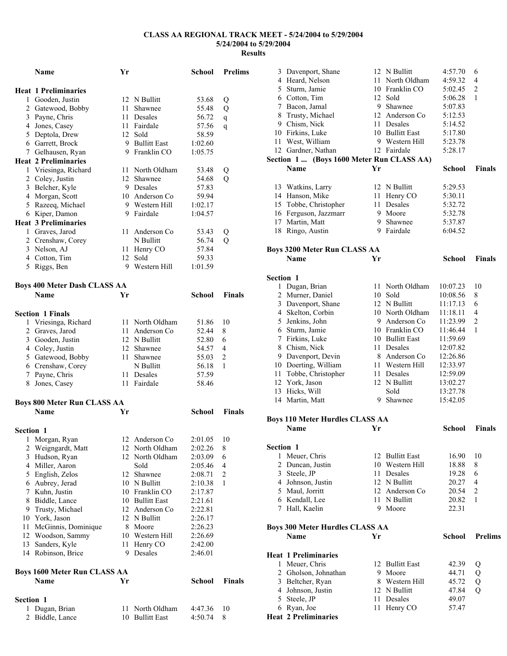|                  | <b>Name</b>                         | Yr |                      | <b>School</b> | <b>Prelims</b> |
|------------------|-------------------------------------|----|----------------------|---------------|----------------|
|                  | <b>Heat 1 Preliminaries</b>         |    |                      |               |                |
|                  | 1 Gooden, Justin                    |    | 12 N Bullitt         | 53.68         | Q              |
|                  | 2 Gatewood, Bobby                   | 11 | Shawnee              | 55.48         | Q              |
|                  | 3 Payne, Chris                      |    | 11 Desales           | 56.72         | q              |
|                  | 4 Jones, Casey                      |    | 11 Fairdale          | 57.56         | q              |
|                  | 5 Deptola, Drew                     |    | 12 Sold              | 58.59         |                |
|                  | 6 Garrett, Brock                    |    | 9 Bullitt East       | 1:02.60       |                |
|                  | 7 Gelhausen, Ryan                   |    | 9 Franklin CO        | 1:05.75       |                |
|                  | <b>Heat 2 Preliminaries</b>         |    |                      |               |                |
|                  | 1 Vriesinga, Richard                |    | 11 North Oldham      | 53.48         | Q              |
|                  | 2 Coley, Justin                     |    | 12 Shawnee           | 54.68         | Q              |
|                  | 3 Belcher, Kyle                     |    | 9 Desales            | 57.83         |                |
|                  | 4 Morgan, Scott                     |    | 10 Anderson Co       | 59.94         |                |
|                  | 5 Razeeq, Michael                   |    | 9 Western Hill       | 1:02.17       |                |
|                  |                                     |    | 9 Fairdale           | 1:04.57       |                |
|                  | 6 Kiper, Damon                      |    |                      |               |                |
|                  | <b>Heat 3 Preliminaries</b>         |    |                      |               |                |
|                  | 1 Graves, Jarod                     | 11 | Anderson Co          | 53.43         | Q              |
|                  | 2 Crenshaw, Corey                   |    | N Bullitt            | 56.74         | $\overline{Q}$ |
|                  | 3 Nelson, AJ                        |    | 11 Henry CO          | 57.84         |                |
|                  | 4 Cotton, Tim                       |    | 12 Sold              | 59.33         |                |
| 5                | Riggs, Ben                          |    | 9 Western Hill       | 1:01.59       |                |
|                  |                                     |    |                      |               |                |
|                  | <b>Boys 400 Meter Dash CLASS AA</b> |    |                      |               |                |
|                  | Name                                | Yr |                      | School        | <b>Finals</b>  |
|                  |                                     |    |                      |               |                |
|                  | <b>Section 1 Finals</b>             |    |                      |               |                |
|                  | 1 Vriesinga, Richard                |    | 11 North Oldham      | 51.86         | 10             |
|                  | 2 Graves, Jarod                     | 11 | Anderson Co          | 52.44         | 8              |
|                  | 3 Gooden, Justin                    |    | 12 N Bullitt         | 52.80         | 6              |
|                  | 4 Coley, Justin                     |    | 12 Shawnee           | 54.57         | 4              |
|                  | 5 Gatewood, Bobby                   |    | 11 Shawnee           | 55.03         | $\overline{2}$ |
|                  | 6 Crenshaw, Corey                   |    | N Bullitt            | 56.18         | 1              |
|                  | 7 Payne, Chris                      |    | 11 Desales           | 57.59         |                |
|                  | 8 Jones, Casey                      |    | 11 Fairdale          | 58.46         |                |
|                  |                                     |    |                      |               |                |
|                  | <b>Boys 800 Meter Run CLASS AA</b>  |    |                      |               |                |
|                  | Name                                | Yr |                      | School        | Finals         |
|                  |                                     |    |                      |               |                |
| <b>Section 1</b> |                                     |    |                      |               |                |
|                  |                                     |    |                      |               |                |
| $\mathbf{I}$     | Morgan, Ryan                        |    | 12 Anderson Co       | 2:01.05       | 10             |
|                  | 2 Weigngardt, Matt                  | 12 | 12 North Oldham      | 2:02.26       | 8              |
|                  | 3 Hudson, Ryan                      |    | North Oldham<br>Sold | 2:03.09       | 6              |
|                  | 4 Miller, Aaron                     |    |                      | 2:05.46       | 4              |
|                  | 5 English, Zelos                    |    | 12 Shawnee           | 2:08.71       | $\overline{c}$ |
|                  | 6 Aubrey, Jerad                     |    | 10 N Bullitt         | 2:10.38       | 1              |
|                  | 7 Kuhn, Justin                      |    | 10 Franklin CO       | 2:17.87       |                |
|                  | 8 Biddle, Lance                     |    | 10 Bullitt East      | 2:21.61       |                |
|                  | 9 Trusty, Michael                   |    | 12 Anderson Co       | 2:22.81       |                |
|                  | 10 York, Jason                      |    | 12 N Bullitt         | 2:26.17       |                |
| 11               | McGinnis, Dominique                 | 8  | Moore                | 2:26.23       |                |
|                  | 12 Woodson, Sammy                   | 10 | Western Hill         | 2:26.69       |                |
| 13               | Sanders, Kyle                       | 11 | Henry CO             | 2:42.00       |                |
|                  | 14 Robinson, Brice                  | 9  | Desales              | 2:46.01       |                |
|                  |                                     |    |                      |               |                |
|                  | <b>Boys 1600 Meter Run CLASS AA</b> |    |                      |               |                |
|                  | Name                                | Yr |                      | School        | <b>Finals</b>  |
|                  |                                     |    |                      |               |                |
| Section 1        |                                     |    |                      |               |                |
| 1                | Dugan, Brian                        | 11 | North Oldham         | 4:47.36       | 10             |
| 2                | Biddle, Lance                       | 10 | <b>Bullitt East</b>  | 4:50.74       | 8              |

|           | 3 Davenport, Shane                                 | 12 | N Bullitt                      | 4:57.70              | 6                   |
|-----------|----------------------------------------------------|----|--------------------------------|----------------------|---------------------|
|           | 4 Heard, Nelson                                    | 11 | North Oldham                   | 4:59.32              | 4                   |
|           | 5 Sturm, Jamie                                     |    | 10 Franklin CO                 | 5:02.45              | 2                   |
|           | 6 Cotton, Tim                                      |    | 12 Sold                        | 5:06.28              | 1                   |
|           | 7 Bacon, Jamal                                     |    | 9 Shawnee                      | 5:07.83              |                     |
|           | 8 Trusty, Michael                                  |    | 12 Anderson Co                 | 5:12.53              |                     |
|           | 9 Chism, Nick                                      | 11 | <b>Desales</b>                 | 5:14.52              |                     |
|           | 10 Firkins, Luke                                   |    | 10 Bullitt East                | 5:17.80              |                     |
|           | 11 West, William                                   |    | 9 Western Hill                 | 5:23.78              |                     |
|           | 12 Gardner, Nathan                                 |    | 12 Fairdale                    | 5:28.17              |                     |
|           | Section 1  (Boys 1600 Meter Run CLASS AA)          |    |                                |                      |                     |
|           | <b>Name</b>                                        | Yr |                                | School               | <b>Finals</b>       |
|           | 13 Watkins, Larry                                  |    | 12 N Bullitt                   | 5:29.53              |                     |
|           | 14 Hanson, Mike                                    | 11 | Henry CO                       | 5:30.11              |                     |
|           | 15 Tobbe, Christopher                              | 11 | Desales                        | 5:32.72              |                     |
|           | 16 Ferguson, Jazzmarr                              | 9  | Moore                          | 5:32.78              |                     |
|           | 17 Martin, Matt                                    | 9  | Shawnee                        | 5:37.87              |                     |
|           | 18 Ringo, Austin                                   |    | 9 Fairdale                     | 6:04.52              |                     |
|           |                                                    |    |                                |                      |                     |
|           | <b>Boys 3200 Meter Run CLASS AA</b><br><b>Name</b> | Yr |                                | <b>School</b>        | <b>Finals</b>       |
|           |                                                    |    |                                |                      |                     |
| Section 1 |                                                    |    |                                |                      |                     |
|           | 1 Dugan, Brian                                     | 11 | North Oldham                   | 10:07.23             | 10                  |
|           | 2 Murner, Daniel                                   |    | 10 Sold                        | 10:08.56             | 8                   |
|           | 3 Davenport, Shane                                 |    | 12 N Bullitt                   | 11:17.13             | 6                   |
|           | 4 Skelton, Corbin                                  |    | 10 North Oldham                | 11:18.11             | 4                   |
|           | 5 Jenkins, John                                    |    | 9 Anderson Co                  | 11:23.99             | 2                   |
|           | 6 Sturm, Jamie                                     |    | 10 Franklin CO                 | 11:46.44             | 1                   |
|           | 7 Firkins, Luke                                    |    | 10 Bullitt East                | 11:59.69             |                     |
|           | 8 Chism, Nick                                      | 11 | Desales                        | 12:07.82             |                     |
|           | 9 Davenport, Devin                                 |    | 8 Anderson Co                  | 12:26.86             |                     |
|           | 10 Doerting, William                               |    | 11 Western Hill                | 12:33.97             |                     |
| 11        | Tobbe, Christopher                                 | 11 | Desales                        | 12:59.09             |                     |
|           | 12 York, Jason                                     |    | 12 N Bullitt                   | 13:02.27             |                     |
|           | 13 Hicks, Will<br>14 Martin, Matt                  |    | Sold<br>9 Shawnee              | 13:27.78<br>15:42.05 |                     |
|           |                                                    |    |                                |                      |                     |
|           | <b>Boys 110 Meter Hurdles CLASS AA</b>             |    |                                |                      |                     |
|           | <b>Name</b>                                        | Yr |                                | <b>School</b>        | <b>Finals</b>       |
| Section 1 |                                                    |    |                                |                      |                     |
| 1         | Meuer, Chris                                       |    | 12 Bullitt East                | 16.90                | 10                  |
| 2         | Duncan, Justin                                     |    | 10 Western Hill                | 18.88                | 8                   |
|           | 3 Steele, JP                                       | 11 | Desales                        | 19.28                | 6                   |
|           | 4 Johnson, Justin                                  |    | 12 N Bullitt                   | 20.27                | 4                   |
|           | 5 Maul, Jorritt                                    |    | 12 Anderson Co                 | 20.54                | 2                   |
|           | 6 Kendall, Lee                                     | 11 | N Bullitt                      | 20.82                | 1                   |
|           | 7 Hall, Kaelin                                     |    | 9 Moore                        | 22.31                |                     |
|           | <b>Boys 300 Meter Hurdles CLASS AA</b>             |    |                                |                      |                     |
|           | Name                                               | Yr |                                | <b>School</b>        | <b>Prelims</b>      |
|           |                                                    |    |                                |                      |                     |
|           | <b>Heat 1 Preliminaries</b>                        |    | 12 Bullitt East                |                      |                     |
|           | 1 Meuer, Chris                                     | 9  | Moore                          | 42.39                | Q                   |
|           | 2 Gholson, Johnathan                               |    |                                | 44.71                | Q                   |
|           | 3 Beltcher, Ryan<br>4 Johnson, Justin              |    | 8 Western Hill<br>12 N Bullitt | 45.72<br>47.84       | Q<br>$\overline{Q}$ |
|           |                                                    |    | Desales                        | 49.07                |                     |
|           |                                                    |    |                                |                      |                     |
|           | 5 Steele, JP                                       | 11 |                                |                      |                     |
|           | 6 Ryan, Joe<br><b>Heat 2 Preliminaries</b>         | 11 | Henry CO                       | 57.47                |                     |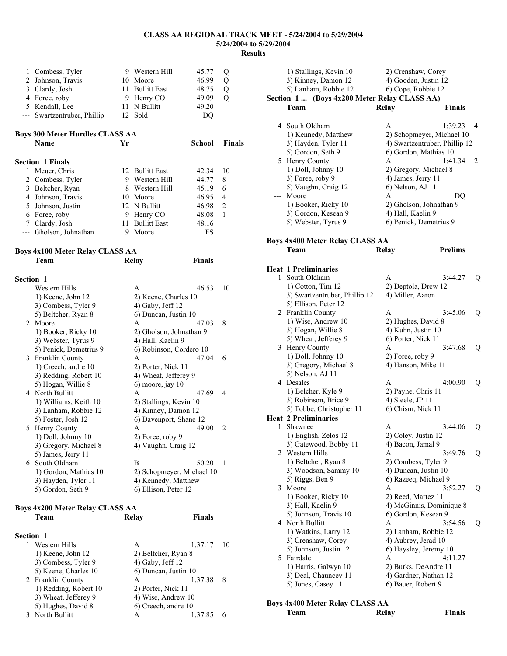| 1 | Combess, Tyler                         | 9. | Western Hill        | 45.77  | Q              |
|---|----------------------------------------|----|---------------------|--------|----------------|
| 2 | Johnson, Travis                        | 10 | Moore               | 46.99  | Q              |
| 3 | Clardy, Josh                           | 11 | <b>Bullitt East</b> | 48.75  | Q              |
| 4 | Foree, roby                            | 9  | Henry CO            | 49.09  | Q              |
| 5 | Kendall, Lee                           | 11 | N Bullitt           | 49.20  |                |
|   | Swartzentruber, Phillip                |    | 12 Sold             | DQ     |                |
|   | <b>Boys 300 Meter Hurdles CLASS AA</b> |    |                     |        |                |
|   |                                        |    |                     |        |                |
|   | <b>Name</b>                            | Yr |                     | School | <b>Finals</b>  |
|   | <b>Section 1 Finals</b>                |    |                     |        |                |
| 1 | Meuer, Chris                           |    | 12 Bullitt East     | 42.34  | 10             |
|   | 2 Combess, Tyler                       | 9  | Western Hill        | 44.77  | 8              |
| 3 | Beltcher, Ryan                         | 8  | Western Hill        | 45.19  | 6              |
| 4 | Johnson, Travis                        | 10 | Moore               | 46.95  | $\overline{4}$ |
| 5 | Johnson, Justin                        |    | 12 N Bullitt        | 46.98  | $\overline{2}$ |
| 6 | Foree, roby                            | 9  | Henry CO            | 48.08  | 1              |
| 7 | Clardy, Josh                           | 11 | <b>Bullitt East</b> | 48.16  |                |
|   | Gholson, Johnathan                     | 9  | Moore               | FS     |                |

**Team Relay Finals** 

#### **Boys 4x100 Meter Relay CLASS AA**

| <b>Section 1</b> |                                        |                         |                           |              |
|------------------|----------------------------------------|-------------------------|---------------------------|--------------|
| 1                | Western Hills                          | A                       | 46.53                     | 10           |
|                  | 1) Keene, John 12                      | 2) Keene, Charles 10    |                           |              |
|                  | 3) Combess, Tyler 9                    | 4) Gaby, Jeff 12        |                           |              |
|                  | 5) Beltcher, Ryan 8                    | 6) Duncan, Justin 10    |                           |              |
|                  | 2 Moore                                | A                       | 47.03                     | 8            |
|                  | 1) Booker, Ricky 10                    | 2) Gholson, Johnathan 9 |                           |              |
|                  | 3) Webster, Tyrus 9                    | 4) Hall, Kaelin 9       |                           |              |
|                  | 5) Penick, Demetrius 9                 | 6) Robinson, Cordero 10 |                           |              |
|                  | 3 Franklin County                      | A                       | 47.04                     | 6            |
|                  | 1) Creech, andre 10                    | 2) Porter, Nick 11      |                           |              |
|                  | 3) Redding, Robert 10                  | 4) Wheat, Jefferey 9    |                           |              |
|                  | 5) Hogan, Willie 8                     | 6) moore, jay 10        |                           |              |
|                  | 4 North Bullitt                        | A                       | 47.69                     | 4            |
|                  | 1) Williams, Keith 10                  | 2) Stallings, Kevin 10  |                           |              |
|                  | 3) Lanham, Robbie 12                   | 4) Kinney, Damon 12     |                           |              |
|                  | 5) Foster, Josh 12                     | 6) Davenport, Shane 12  |                           |              |
|                  | 5 Henry County                         | A                       | 49.00                     | 2            |
|                  | 1) Doll, Johnny 10                     | 2) Foree, roby 9        |                           |              |
|                  | 3) Gregory, Michael 8                  | 4) Vaughn, Craig 12     |                           |              |
|                  | 5) James, Jerry 11                     |                         |                           |              |
|                  | 6 South Oldham                         | B                       | 50.20                     | $\mathbf{1}$ |
|                  | 1) Gordon, Mathias 10                  |                         | 2) Schopmeyer, Michael 10 |              |
|                  | 3) Hayden, Tyler 11                    | 4) Kennedy, Matthew     |                           |              |
|                  | 5) Gordon, Seth 9                      | 6) Ellison, Peter 12    |                           |              |
|                  |                                        |                         |                           |              |
|                  | <b>Boys 4x200 Meter Relay CLASS AA</b> |                         |                           |              |
|                  | Team                                   | Relay                   | <b>Finals</b>             |              |
|                  |                                        |                         |                           |              |
| <b>Section 1</b> |                                        |                         |                           |              |
| 1                | Western Hills                          | A                       | 1:37.17                   | 10           |
|                  | 1) Keene, John 12                      | 2) Beltcher, Ryan 8     |                           |              |
|                  | 3) Combess, Tyler 9                    | 4) Gaby, Jeff 12        |                           |              |
|                  | 5) Keene, Charles 10                   | 6) Duncan, Justin 10    |                           |              |
|                  | 2 Franklin County                      | А                       | 1:37.38                   | 8            |

2 Franklin County<br>
1) Redding, Robert 10 <br>
2) Porter, Nick 11

3) Wheat, Jefferey 9 4) Wise, Andrew 10<br>5) Hughes, David 8 6) Creech, andre 10

3 North Bullitt A 1:37.85 6

6) Creech, andre 10

1) Redding, Robert 10<br>3) Wheat, Jefferey 9

|    | 1) Stallings, Kevin 10                                  | 2) Crenshaw, Corey            |                |
|----|---------------------------------------------------------|-------------------------------|----------------|
|    | 3) Kinney, Damon 12                                     | 4) Gooden, Justin 12          |                |
|    | 5) Lanham, Robbie 12                                    | 6) Cope, Robbie 12            |                |
|    | Section 1  (Boys 4x200 Meter Relay CLASS AA)            |                               |                |
|    | Team                                                    | Relay                         | <b>Finals</b>  |
|    | 4 South Oldham                                          | A                             | 1:39.23<br>4   |
|    | 1) Kennedy, Matthew                                     | 2) Schopmeyer, Michael 10     |                |
|    | 3) Hayden, Tyler 11                                     | 4) Swartzentruber, Phillip 12 |                |
|    | 5) Gordon, Seth 9                                       | 6) Gordon, Mathias 10         |                |
|    | 5 Henry County                                          | A                             | 1:41.34<br>2   |
|    | 1) Doll, Johnny 10                                      | 2) Gregory, Michael 8         |                |
|    | 3) Foree, roby 9                                        | 4) James, Jerry 11            |                |
|    | 5) Vaughn, Craig 12                                     | 6) Nelson, AJ 11              |                |
|    | --- Moore                                               | A                             | DQ             |
|    | 1) Booker, Ricky 10                                     | 2) Gholson, Johnathan 9       |                |
|    | 3) Gordon, Kesean 9                                     | 4) Hall, Kaelin 9             |                |
|    | 5) Webster, Tyrus 9                                     | 6) Penick, Demetrius 9        |                |
|    |                                                         |                               |                |
|    | Boys 4x400 Meter Relay CLASS AA<br>Team                 | Relay                         | <b>Prelims</b> |
|    |                                                         |                               |                |
|    | <b>Heat 1 Preliminaries</b>                             |                               |                |
| 1  | South Oldham                                            | A                             | 3:44.27<br>Q   |
|    | 1) Cotton, Tim 12                                       | 2) Deptola, Drew 12           |                |
|    | 3) Swartzentruber, Phillip 12                           | 4) Miller, Aaron              |                |
|    | 5) Ellison, Peter 12                                    |                               |                |
|    | 2 Franklin County                                       | A                             | 3:45.06<br>Q   |
|    | 1) Wise, Andrew 10                                      | 2) Hughes, David 8            |                |
|    | 3) Hogan, Willie 8                                      | 4) Kuhn, Justin 10            |                |
|    | 5) Wheat, Jefferey 9                                    | 6) Porter, Nick 11            |                |
| 3  | Henry County                                            | A                             | 3:47.68<br>Q   |
|    | 1) Doll, Johnny 10                                      | 2) Foree, roby 9              |                |
|    | 3) Gregory, Michael 8                                   | 4) Hanson, Mike 11            |                |
|    | 5) Nelson, AJ 11                                        |                               |                |
| 4  | Desales                                                 | A                             | 4:00.90<br>Q   |
|    | 1) Belcher, Kyle 9                                      | 2) Payne, Chris 11            |                |
|    | 3) Robinson, Brice 9                                    | 4) Steele, JP 11              |                |
|    | 5) Tobbe, Christopher 11<br><b>Heat 2 Preliminaries</b> | 6) Chism, Nick 11             |                |
|    | 1 Shawnee                                               | A                             | 3:44.06 Q      |
|    | 1) English, Zelos 12                                    | 2) Coley, Justin 12           |                |
|    | 3) Gatewood, Bobby 11                                   | 4) Bacon, Jamal 9             |                |
|    | 2 Western Hills                                         | A                             | 3:49.76<br>Q   |
|    | 1) Beltcher, Ryan 8                                     | 2) Combess, Tyler 9           |                |
|    | 3) Woodson, Sammy 10                                    | 4) Duncan, Justin 10          |                |
|    | 5) Riggs, Ben 9                                         | 6) Razeeq, Michael 9          |                |
| 3  | Moore                                                   | A                             | 3:52.27<br>Q   |
|    | 1) Booker, Ricky 10                                     | 2) Reed, Martez 11            |                |
|    | 3) Hall, Kaelin 9                                       | 4) McGinnis, Dominique 8      |                |
|    | 5) Johnson, Travis 10                                   | 6) Gordon, Kesean 9           |                |
| 4  | North Bullitt                                           | A                             | 3:54.56<br>Q   |
|    | 1) Watkins, Larry 12                                    | 2) Lanham, Robbie 12          |                |
|    | 3) Crenshaw, Corey                                      | 4) Aubrey, Jerad 10           |                |
|    | 5) Johnson, Justin 12                                   | 6) Haysley, Jeremy 10         |                |
| 5. | Fairdale                                                | A                             | 4:11.27        |
|    | 1) Harris, Galwyn 10                                    | 2) Burks, DeAndre 11          |                |
|    | 3) Deal, Chauncey 11                                    | 4) Gardner, Nathan 12         |                |
|    | 5) Jones, Casey 11                                      | 6) Bauer, Robert 9            |                |
|    |                                                         |                               |                |
|    | <b>Boys 4x400 Meter Relay CLASS AA</b>                  |                               |                |
|    | Team                                                    | Relay                         | <b>Finals</b>  |